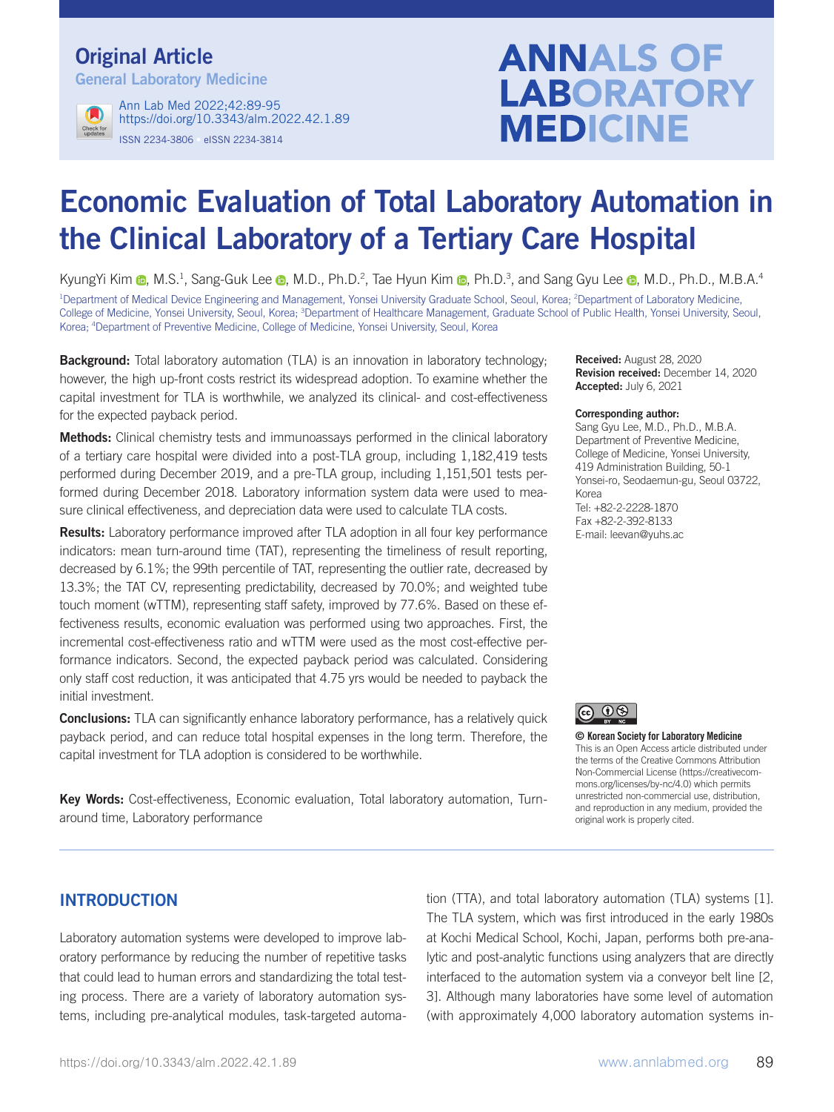## Original Article

General Laboratory Medicine



ISSN 2234-3806 • eISSN 2234-3814 Ann Lab Med 2022;42:89-95 https://doi.org/10.3343/alm.2022.42.1.89

# **ANNALS OF LABORATORY MEDICINE**

## Economic Evaluation of Total Laboratory Automation in the Clinical Laboratory of a Tertiary Care Hospital

KyungYi Kim @, M.S.<sup>1</sup>, Sang-Guk Lee @, M.D., Ph.D.<sup>2</sup>, Tae Hyun Kim @, Ph.D.<sup>3</sup>, and Sang Gyu Lee @, M.D., Ph.D., M.B.A.<sup>4</sup>

<sup>1</sup>Department of Medical Device Engineering and Management, Yonsei University Graduate School, Seoul, Korea; <sup>2</sup>Department of Laboratory Medicine, College of Medicine, Yonsei University, Seoul, Korea; <sup>3</sup>Department of Healthcare Management, Graduate School of Public Health, Yonsei University, Seoul, Korea; 4 Department of Preventive Medicine, College of Medicine, Yonsei University, Seoul, Korea

**Background:** Total laboratory automation (TLA) is an innovation in laboratory technology; however, the high up-front costs restrict its widespread adoption. To examine whether the capital investment for TLA is worthwhile, we analyzed its clinical- and cost-effectiveness for the expected payback period.

**Methods:** Clinical chemistry tests and immunoassays performed in the clinical laboratory of a tertiary care hospital were divided into a post-TLA group, including 1,182,419 tests performed during December 2019, and a pre-TLA group, including 1,151,501 tests performed during December 2018. Laboratory information system data were used to measure clinical effectiveness, and depreciation data were used to calculate TLA costs.

**Results:** Laboratory performance improved after TLA adoption in all four key performance indicators: mean turn-around time (TAT), representing the timeliness of result reporting, decreased by 6.1%; the 99th percentile of TAT, representing the outlier rate, decreased by 13.3%; the TAT CV, representing predictability, decreased by 70.0%; and weighted tube touch moment (wTTM), representing staff safety, improved by 77.6%. Based on these effectiveness results, economic evaluation was performed using two approaches. First, the incremental cost-effectiveness ratio and wTTM were used as the most cost-effective performance indicators. Second, the expected payback period was calculated. Considering only staff cost reduction, it was anticipated that 4.75 yrs would be needed to payback the initial investment.

**Conclusions:** TLA can significantly enhance laboratory performance, has a relatively quick payback period, and can reduce total hospital expenses in the long term. Therefore, the capital investment for TLA adoption is considered to be worthwhile.

Key Words: Cost-effectiveness, Economic evaluation, Total laboratory automation, Turnaround time, Laboratory performance

Received: August 28, 2020 Revision received: December 14, 2020 Accepted: July 6, 2021

#### Corresponding author:

Sang Gyu Lee, M.D., Ph.D., M.B.A. Department of Preventive Medicine, College of Medicine, Yonsei University, 419 Administration Building, 50-1 Yonsei-ro, Seodaemun-gu, Seoul 03722, Korea Tel: +82-2-2228-1870 Fax +82-2-392-8133 E-mail: leevan@yuhs.ac



© Korean Society for Laboratory Medicine

This is an Open Access article distributed under the terms of the Creative Commons Attribution Non-Commercial License (https://creativecommons.org/licenses/by-nc/4.0) which permits unrestricted non-commercial use, distribution, and reproduction in any medium, provided the original work is properly cited.

## INTRODUCTION

Laboratory automation systems were developed to improve laboratory performance by reducing the number of repetitive tasks that could lead to human errors and standardizing the total testing process. There are a variety of laboratory automation systems, including pre-analytical modules, task-targeted automation (TTA), and total laboratory automation (TLA) systems [1]. The TLA system, which was first introduced in the early 1980s at Kochi Medical School, Kochi, Japan, performs both pre-analytic and post-analytic functions using analyzers that are directly interfaced to the automation system via a conveyor belt line [2, 3]. Although many laboratories have some level of automation (with approximately 4,000 laboratory automation systems in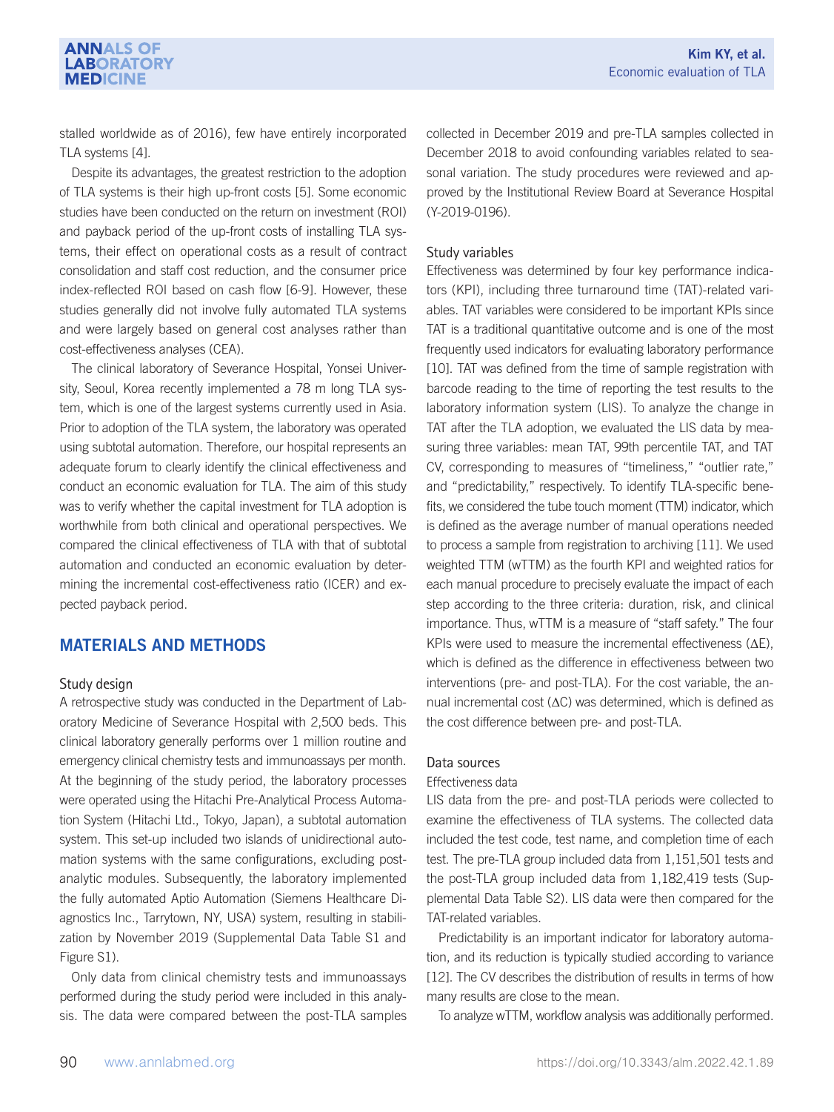stalled worldwide as of 2016), few have entirely incorporated TLA systems [4].

**ANNALS OF LABORATORY MEDICINE** 

Despite its advantages, the greatest restriction to the adoption of TLA systems is their high up-front costs [5]. Some economic studies have been conducted on the return on investment (ROI) and payback period of the up-front costs of installing TLA systems, their effect on operational costs as a result of contract consolidation and staff cost reduction, and the consumer price index-reflected ROI based on cash flow [6-9]. However, these studies generally did not involve fully automated TLA systems and were largely based on general cost analyses rather than cost-effectiveness analyses (CEA).

The clinical laboratory of Severance Hospital, Yonsei University, Seoul, Korea recently implemented a 78 m long TLA system, which is one of the largest systems currently used in Asia. Prior to adoption of the TLA system, the laboratory was operated using subtotal automation. Therefore, our hospital represents an adequate forum to clearly identify the clinical effectiveness and conduct an economic evaluation for TLA. The aim of this study was to verify whether the capital investment for TLA adoption is worthwhile from both clinical and operational perspectives. We compared the clinical effectiveness of TLA with that of subtotal automation and conducted an economic evaluation by determining the incremental cost-effectiveness ratio (ICER) and expected payback period.

### MATERIALS AND METHODS

#### Study design

A retrospective study was conducted in the Department of Laboratory Medicine of Severance Hospital with 2,500 beds. This clinical laboratory generally performs over 1 million routine and emergency clinical chemistry tests and immunoassays per month. At the beginning of the study period, the laboratory processes were operated using the Hitachi Pre-Analytical Process Automation System (Hitachi Ltd., Tokyo, Japan), a subtotal automation system. This set-up included two islands of unidirectional automation systems with the same configurations, excluding postanalytic modules. Subsequently, the laboratory implemented the fully automated Aptio Automation (Siemens Healthcare Diagnostics Inc., Tarrytown, NY, USA) system, resulting in stabilization by November 2019 (Supplemental Data Table S1 and Figure S1).

Only data from clinical chemistry tests and immunoassays performed during the study period were included in this analysis. The data were compared between the post-TLA samples

collected in December 2019 and pre-TLA samples collected in December 2018 to avoid confounding variables related to seasonal variation. The study procedures were reviewed and approved by the Institutional Review Board at Severance Hospital (Y-2019-0196).

#### Study variables

Effectiveness was determined by four key performance indicators (KPI), including three turnaround time (TAT)-related variables. TAT variables were considered to be important KPIs since TAT is a traditional quantitative outcome and is one of the most frequently used indicators for evaluating laboratory performance [10]. TAT was defined from the time of sample registration with barcode reading to the time of reporting the test results to the laboratory information system (LIS). To analyze the change in TAT after the TLA adoption, we evaluated the LIS data by measuring three variables: mean TAT, 99th percentile TAT, and TAT CV, corresponding to measures of "timeliness," "outlier rate," and "predictability," respectively. To identify TLA-specific benefits, we considered the tube touch moment (TTM) indicator, which is defined as the average number of manual operations needed to process a sample from registration to archiving [11]. We used weighted TTM (wTTM) as the fourth KPI and weighted ratios for each manual procedure to precisely evaluate the impact of each step according to the three criteria: duration, risk, and clinical importance. Thus, wTTM is a measure of "staff safety." The four KPIs were used to measure the incremental effectiveness (ΔE), which is defined as the difference in effectiveness between two interventions (pre- and post-TLA). For the cost variable, the annual incremental cost (ΔC) was determined, which is defined as the cost difference between pre- and post-TLA.

#### Data sources

#### Effectiveness data

LIS data from the pre- and post-TLA periods were collected to examine the effectiveness of TLA systems. The collected data included the test code, test name, and completion time of each test. The pre-TLA group included data from 1,151,501 tests and the post-TLA group included data from 1,182,419 tests (Supplemental Data Table S2). LIS data were then compared for the TAT-related variables.

Predictability is an important indicator for laboratory automation, and its reduction is typically studied according to variance [12]. The CV describes the distribution of results in terms of how many results are close to the mean.

To analyze wTTM, workflow analysis was additionally performed.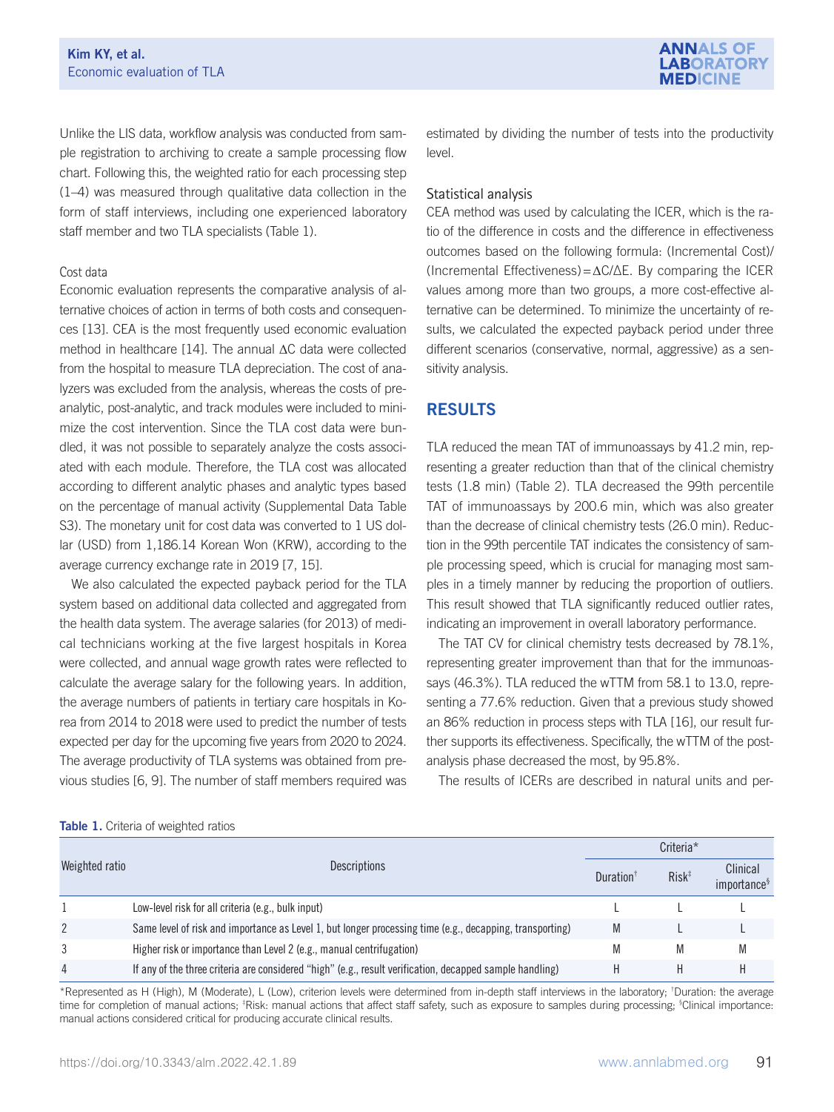

Unlike the LIS data, workflow analysis was conducted from sample registration to archiving to create a sample processing flow chart. Following this, the weighted ratio for each processing step (1–4) was measured through qualitative data collection in the form of staff interviews, including one experienced laboratory staff member and two TLA specialists (Table 1).

#### Cost data

Economic evaluation represents the comparative analysis of alternative choices of action in terms of both costs and consequences [13]. CEA is the most frequently used economic evaluation method in healthcare [14]. The annual ΔC data were collected from the hospital to measure TLA depreciation. The cost of analyzers was excluded from the analysis, whereas the costs of preanalytic, post-analytic, and track modules were included to minimize the cost intervention. Since the TLA cost data were bundled, it was not possible to separately analyze the costs associated with each module. Therefore, the TLA cost was allocated according to different analytic phases and analytic types based on the percentage of manual activity (Supplemental Data Table S3). The monetary unit for cost data was converted to 1 US dollar (USD) from 1,186.14 Korean Won (KRW), according to the average currency exchange rate in 2019 [7, 15].

We also calculated the expected payback period for the TLA system based on additional data collected and aggregated from the health data system. The average salaries (for 2013) of medical technicians working at the five largest hospitals in Korea were collected, and annual wage growth rates were reflected to calculate the average salary for the following years. In addition, the average numbers of patients in tertiary care hospitals in Korea from 2014 to 2018 were used to predict the number of tests expected per day for the upcoming five years from 2020 to 2024. The average productivity of TLA systems was obtained from previous studies [6, 9]. The number of staff members required was

estimated by dividing the number of tests into the productivity level.

#### Statistical analysis

CEA method was used by calculating the ICER, which is the ratio of the difference in costs and the difference in effectiveness outcomes based on the following formula: (Incremental Cost)/ (Incremental Effectiveness)=ΔC/∆E. By comparing the ICER values among more than two groups, a more cost-effective alternative can be determined. To minimize the uncertainty of results, we calculated the expected payback period under three different scenarios (conservative, normal, aggressive) as a sensitivity analysis.

## RESULTS

TLA reduced the mean TAT of immunoassays by 41.2 min, representing a greater reduction than that of the clinical chemistry tests (1.8 min) (Table 2). TLA decreased the 99th percentile TAT of immunoassays by 200.6 min, which was also greater than the decrease of clinical chemistry tests (26.0 min). Reduction in the 99th percentile TAT indicates the consistency of sample processing speed, which is crucial for managing most samples in a timely manner by reducing the proportion of outliers. This result showed that TLA significantly reduced outlier rates, indicating an improvement in overall laboratory performance.

The TAT CV for clinical chemistry tests decreased by 78.1%, representing greater improvement than that for the immunoassays (46.3%). TLA reduced the wTTM from 58.1 to 13.0, representing a 77.6% reduction. Given that a previous study showed an 86% reduction in process steps with TLA [16], our result further supports its effectiveness. Specifically, the wTTM of the postanalysis phase decreased the most, by 95.8%.

The results of ICERs are described in natural units and per-

#### Table 1. Criteria of weighted ratios

|                | <b>Descriptions</b>                                                                                      |   | Criteria*         |                                     |  |  |
|----------------|----------------------------------------------------------------------------------------------------------|---|-------------------|-------------------------------------|--|--|
| Weighted ratio |                                                                                                          |   | $Risk^{\ddagger}$ | Clinical<br>importance <sup>§</sup> |  |  |
|                | Low-level risk for all criteria (e.g., bulk input)                                                       |   |                   |                                     |  |  |
| 2              | Same level of risk and importance as Level 1, but longer processing time (e.g., decapping, transporting) | M |                   |                                     |  |  |
| 3              | Higher risk or importance than Level 2 (e.g., manual centrifugation)                                     | M | M                 | M                                   |  |  |
| 4              | If any of the three criteria are considered "high" (e.g., result verification, decapped sample handling) |   |                   |                                     |  |  |

\*Represented as H (High), M (Moderate), L (Low), criterion levels were determined from in-depth staff interviews in the laboratory; † Duration: the average time for completion of manual actions; <sup>‡</sup>Risk: manual actions that affect staff safety, such as exposure to samples during processing; <sup>§</sup>Clinical importance: manual actions considered critical for producing accurate clinical results.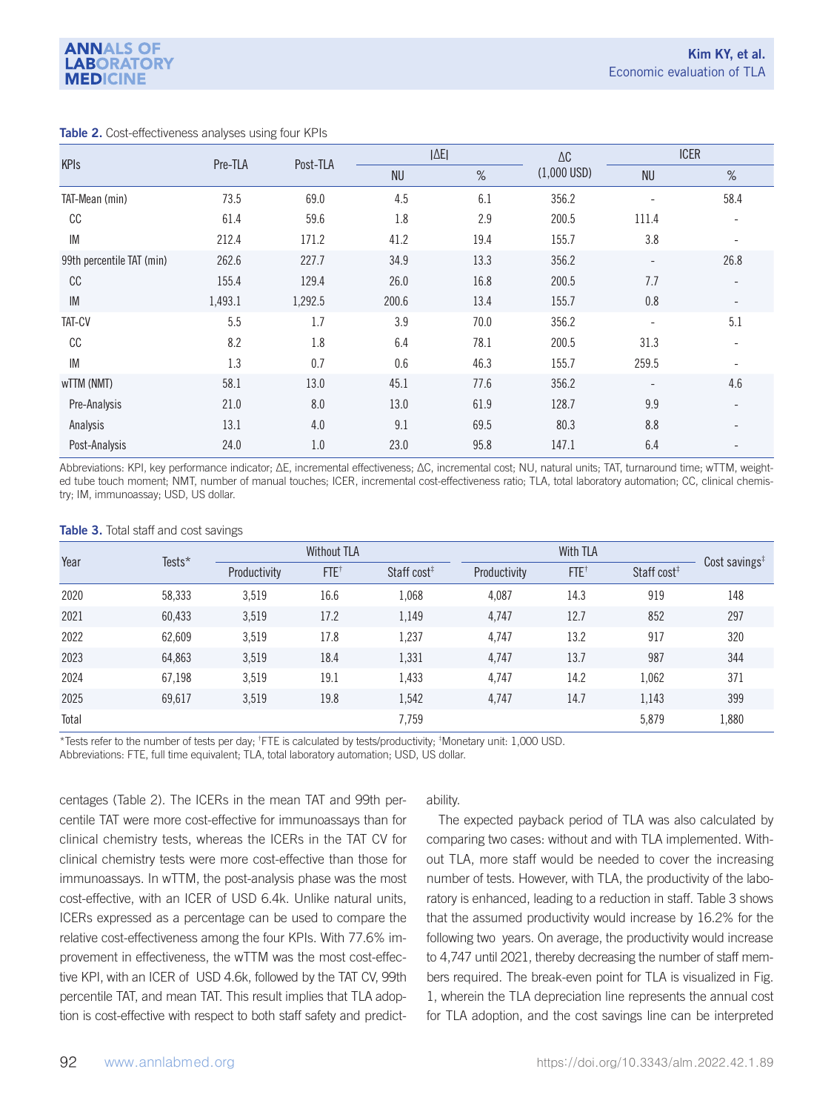|                           |         | Post-TLA | $ \Delta E $ |      | $\Delta \texttt{C}$ | <b>ICER</b>              |                          |
|---------------------------|---------|----------|--------------|------|---------------------|--------------------------|--------------------------|
| <b>KPIs</b>               | Pre-TLA |          | <b>NU</b>    | $\%$ | $(1,000$ USD)       | <b>NU</b>                | %                        |
| TAT-Mean (min)            | 73.5    | 69.0     | 4.5          | 6.1  | 356.2               | ۰                        | 58.4                     |
| СC                        | 61.4    | 59.6     | 1.8          | 2.9  | 200.5               | 111.4                    |                          |
| IM                        | 212.4   | 171.2    | 41.2         | 19.4 | 155.7               | 3.8                      |                          |
| 99th percentile TAT (min) | 262.6   | 227.7    | 34.9         | 13.3 | 356.2               | $\overline{\phantom{a}}$ | 26.8                     |
| cc                        | 155.4   | 129.4    | 26.0         | 16.8 | 200.5               | 7.7                      |                          |
| IM                        | 1,493.1 | 1,292.5  | 200.6        | 13.4 | 155.7               | 0.8                      | $\overline{\phantom{a}}$ |
| TAT-CV                    | 5.5     | 1.7      | 3.9          | 70.0 | 356.2               | $\overline{\phantom{a}}$ | 5.1                      |
| СC                        | 8.2     | 1.8      | 6.4          | 78.1 | 200.5               | 31.3                     |                          |
| IM                        | 1.3     | 0.7      | 0.6          | 46.3 | 155.7               | 259.5                    |                          |
| wTTM (NMT)                | 58.1    | 13.0     | 45.1         | 77.6 | 356.2               | -                        | 4.6                      |
| Pre-Analysis              | 21.0    | 8.0      | 13.0         | 61.9 | 128.7               | 9.9                      |                          |
| Analysis                  | 13.1    | 4.0      | 9.1          | 69.5 | 80.3                | 8.8                      |                          |
| Post-Analysis             | 24.0    | 1.0      | 23.0         | 95.8 | 147.1               | 6.4                      |                          |

#### Table 2. Cost-effectiveness analyses using four KPIs

Abbreviations: KPI, key performance indicator; ∆E, incremental effectiveness; ∆C, incremental cost; NU, natural units; TAT, turnaround time; wTTM, weighted tube touch moment; NMT, number of manual touches; ICER, incremental cost-effectiveness ratio; TLA, total laboratory automation; CC, clinical chemistry; IM, immunoassay; USD, US dollar.

| Table 3. Total staff and cost savings |  |  |  |  |  |
|---------------------------------------|--|--|--|--|--|
|---------------------------------------|--|--|--|--|--|

| Year  | Tests* | <b>Without TLA</b> |                    |                         | With TLA     |                 |                         | Cost savings $*$ |
|-------|--------|--------------------|--------------------|-------------------------|--------------|-----------------|-------------------------|------------------|
|       |        | Productivity       | $FTE$ <sup>+</sup> | Staff cost <sup>#</sup> | Productivity | $FTE^{\dagger}$ | Staff cost <sup>#</sup> |                  |
| 2020  | 58,333 | 3,519              | 16.6               | 1,068                   | 4,087        | 14.3            | 919                     | 148              |
| 2021  | 60,433 | 3,519              | 17.2               | 1,149                   | 4,747        | 12.7            | 852                     | 297              |
| 2022  | 62,609 | 3,519              | 17.8               | 1,237                   | 4,747        | 13.2            | 917                     | 320              |
| 2023  | 64,863 | 3,519              | 18.4               | 1,331                   | 4,747        | 13.7            | 987                     | 344              |
| 2024  | 67,198 | 3,519              | 19.1               | 1,433                   | 4.747        | 14.2            | 1,062                   | 371              |
| 2025  | 69,617 | 3,519              | 19.8               | 1,542                   | 4.747        | 14.7            | 1,143                   | 399              |
| Total |        |                    |                    | 7.759                   |              |                 | 5,879                   | 1,880            |

\*Tests refer to the number of tests per day; † FTE is calculated by tests/productivity; ‡ Monetary unit: 1,000 USD.

Abbreviations: FTE, full time equivalent; TLA, total laboratory automation; USD, US dollar.

centages (Table 2). The ICERs in the mean TAT and 99th percentile TAT were more cost-effective for immunoassays than for clinical chemistry tests, whereas the ICERs in the TAT CV for clinical chemistry tests were more cost-effective than those for immunoassays. In wTTM, the post-analysis phase was the most cost-effective, with an ICER of USD 6.4k. Unlike natural units, ICERs expressed as a percentage can be used to compare the relative cost-effectiveness among the four KPIs. With 77.6% improvement in effectiveness, the wTTM was the most cost-effective KPI, with an ICER of USD 4.6k, followed by the TAT CV, 99th percentile TAT, and mean TAT. This result implies that TLA adoption is cost-effective with respect to both staff safety and predict-

#### ability.

The expected payback period of TLA was also calculated by comparing two cases: without and with TLA implemented. Without TLA, more staff would be needed to cover the increasing number of tests. However, with TLA, the productivity of the laboratory is enhanced, leading to a reduction in staff. Table 3 shows that the assumed productivity would increase by 16.2% for the following two years. On average, the productivity would increase to 4,747 until 2021, thereby decreasing the number of staff members required. The break-even point for TLA is visualized in Fig. 1, wherein the TLA depreciation line represents the annual cost for TLA adoption, and the cost savings line can be interpreted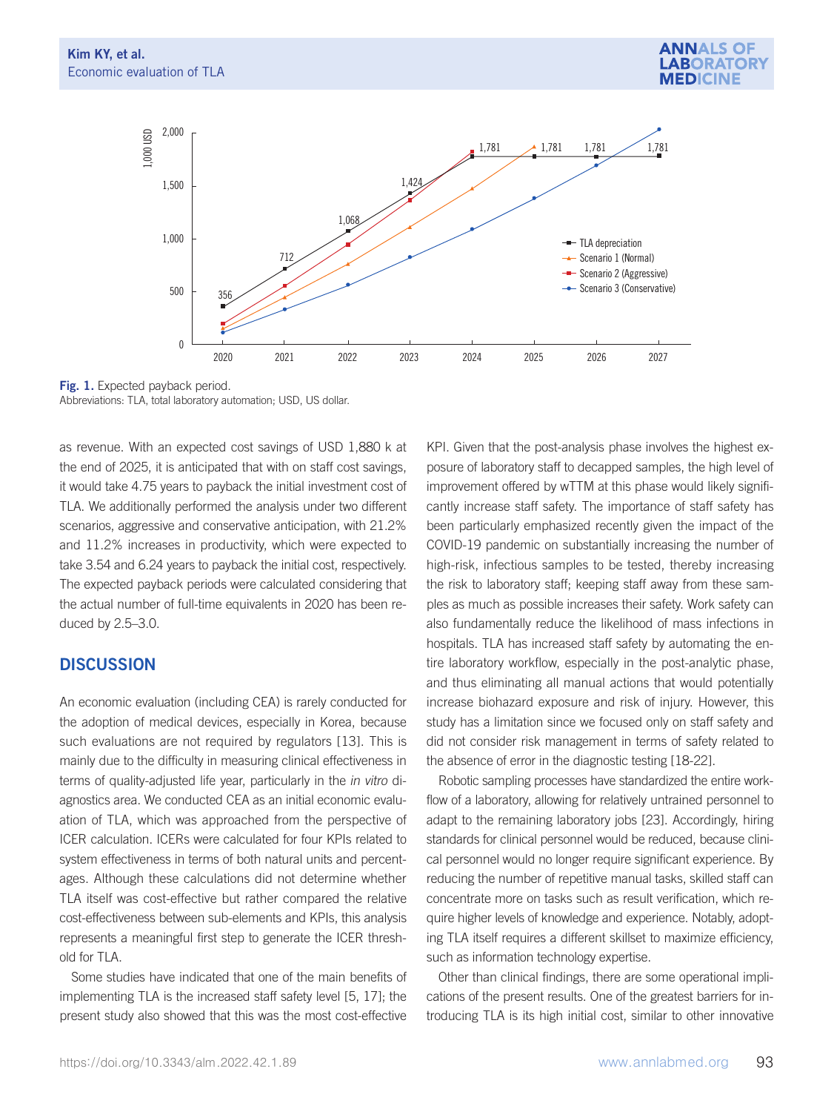



Fig. 1. Expected payback period. Abbreviations: TLA, total laboratory automation; USD, US dollar.

as revenue. With an expected cost savings of USD 1,880 k at the end of 2025, it is anticipated that with on staff cost savings, it would take 4.75 years to payback the initial investment cost of TLA. We additionally performed the analysis under two different scenarios, aggressive and conservative anticipation, with 21.2% and 11.2% increases in productivity, which were expected to take 3.54 and 6.24 years to payback the initial cost, respectively. The expected payback periods were calculated considering that the actual number of full-time equivalents in 2020 has been reduced by 2.5–3.0.

## **DISCUSSION**

An economic evaluation (including CEA) is rarely conducted for the adoption of medical devices, especially in Korea, because such evaluations are not required by regulators [13]. This is mainly due to the difficulty in measuring clinical effectiveness in terms of quality-adjusted life year, particularly in the in vitro diagnostics area. We conducted CEA as an initial economic evaluation of TLA, which was approached from the perspective of ICER calculation. ICERs were calculated for four KPIs related to system effectiveness in terms of both natural units and percentages. Although these calculations did not determine whether TLA itself was cost-effective but rather compared the relative cost-effectiveness between sub-elements and KPIs, this analysis represents a meaningful first step to generate the ICER threshold for TLA.

Some studies have indicated that one of the main benefits of implementing TLA is the increased staff safety level [5, 17]; the present study also showed that this was the most cost-effective

KPI. Given that the post-analysis phase involves the highest exposure of laboratory staff to decapped samples, the high level of improvement offered by wTTM at this phase would likely significantly increase staff safety. The importance of staff safety has been particularly emphasized recently given the impact of the COVID-19 pandemic on substantially increasing the number of high-risk, infectious samples to be tested, thereby increasing the risk to laboratory staff; keeping staff away from these samples as much as possible increases their safety. Work safety can also fundamentally reduce the likelihood of mass infections in hospitals. TLA has increased staff safety by automating the entire laboratory workflow, especially in the post-analytic phase, and thus eliminating all manual actions that would potentially increase biohazard exposure and risk of injury. However, this study has a limitation since we focused only on staff safety and did not consider risk management in terms of safety related to the absence of error in the diagnostic testing [18-22].

Robotic sampling processes have standardized the entire workflow of a laboratory, allowing for relatively untrained personnel to adapt to the remaining laboratory jobs [23]. Accordingly, hiring standards for clinical personnel would be reduced, because clinical personnel would no longer require significant experience. By reducing the number of repetitive manual tasks, skilled staff can concentrate more on tasks such as result verification, which require higher levels of knowledge and experience. Notably, adopting TLA itself requires a different skillset to maximize efficiency, such as information technology expertise.

Other than clinical findings, there are some operational implications of the present results. One of the greatest barriers for introducing TLA is its high initial cost, similar to other innovative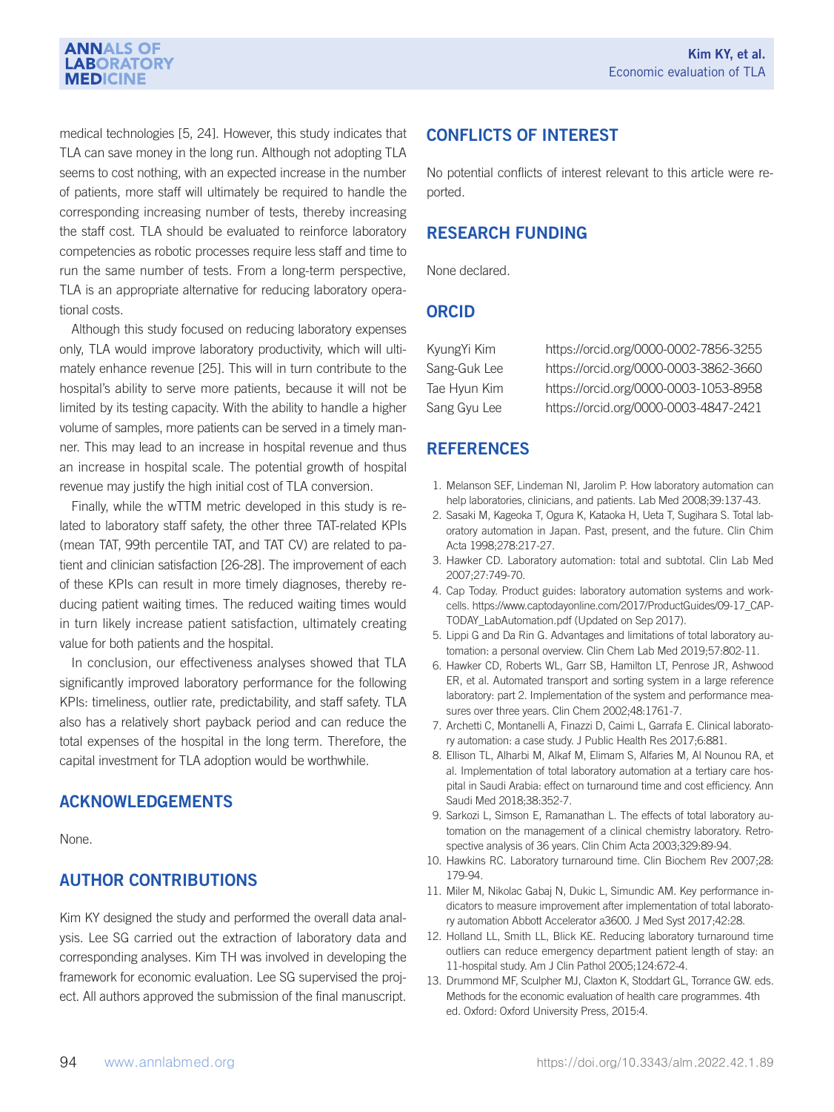#### **ANNALS OF LABORATORY MEDICINE**

medical technologies [5, 24]. However, this study indicates that TLA can save money in the long run. Although not adopting TLA seems to cost nothing, with an expected increase in the number of patients, more staff will ultimately be required to handle the corresponding increasing number of tests, thereby increasing the staff cost. TLA should be evaluated to reinforce laboratory competencies as robotic processes require less staff and time to run the same number of tests. From a long-term perspective, TLA is an appropriate alternative for reducing laboratory operational costs.

Although this study focused on reducing laboratory expenses only, TLA would improve laboratory productivity, which will ultimately enhance revenue [25]. This will in turn contribute to the hospital's ability to serve more patients, because it will not be limited by its testing capacity. With the ability to handle a higher volume of samples, more patients can be served in a timely manner. This may lead to an increase in hospital revenue and thus an increase in hospital scale. The potential growth of hospital revenue may justify the high initial cost of TLA conversion.

Finally, while the wTTM metric developed in this study is related to laboratory staff safety, the other three TAT-related KPIs (mean TAT, 99th percentile TAT, and TAT CV) are related to patient and clinician satisfaction [26-28]. The improvement of each of these KPIs can result in more timely diagnoses, thereby reducing patient waiting times. The reduced waiting times would in turn likely increase patient satisfaction, ultimately creating value for both patients and the hospital.

In conclusion, our effectiveness analyses showed that TLA significantly improved laboratory performance for the following KPIs: timeliness, outlier rate, predictability, and staff safety. TLA also has a relatively short payback period and can reduce the total expenses of the hospital in the long term. Therefore, the capital investment for TLA adoption would be worthwhile.

## ACKNOWLEDGEMENTS

None.

## AUTHOR CONTRIBUTIONS

Kim KY designed the study and performed the overall data analysis. Lee SG carried out the extraction of laboratory data and corresponding analyses. Kim TH was involved in developing the framework for economic evaluation. Lee SG supervised the project. All authors approved the submission of the final manuscript.

## CONFLICTS OF INTEREST

No potential conflicts of interest relevant to this article were reported.

## RESEARCH FUNDING

None declared.

### **ORCID**

| KyungYi Kim  | https://orcid.org/0000-0002-7856-3255 |
|--------------|---------------------------------------|
| Sang-Guk Lee | https://orcid.org/0000-0003-3862-3660 |
| Tae Hyun Kim | https://orcid.org/0000-0003-1053-8958 |
| Sang Gyu Lee | https://orcid.org/0000-0003-4847-2421 |

## **REFERENCES**

- 1. Melanson SEF, Lindeman NI, Jarolim P. How laboratory automation can help laboratories, clinicians, and patients. Lab Med 2008;39:137-43.
- 2. Sasaki M, Kageoka T, Ogura K, Kataoka H, Ueta T, Sugihara S. Total laboratory automation in Japan. Past, present, and the future. Clin Chim Acta 1998;278:217-27.
- 3. Hawker CD. Laboratory automation: total and subtotal. Clin Lab Med 2007;27:749-70.
- 4. Cap Today. Product guides: laboratory automation systems and workcells. https://www.captodayonline.com/2017/ProductGuides/09-17\_CAP-TODAY\_LabAutomation.pdf (Updated on Sep 2017).
- 5. Lippi G and Da Rin G. Advantages and limitations of total laboratory automation: a personal overview. Clin Chem Lab Med 2019;57:802-11.
- 6. Hawker CD, Roberts WL, Garr SB, Hamilton LT, Penrose JR, Ashwood ER, et al. Automated transport and sorting system in a large reference laboratory: part 2. Implementation of the system and performance measures over three years. Clin Chem 2002;48:1761-7.
- 7. Archetti C, Montanelli A, Finazzi D, Caimi L, Garrafa E. Clinical laboratory automation: a case study. J Public Health Res 2017;6:881.
- 8. Ellison TL, Alharbi M, Alkaf M, Elimam S, Alfaries M, Al Nounou RA, et al. Implementation of total laboratory automation at a tertiary care hospital in Saudi Arabia: effect on turnaround time and cost efficiency. Ann Saudi Med 2018;38:352-7.
- 9. Sarkozi L, Simson E, Ramanathan L. The effects of total laboratory automation on the management of a clinical chemistry laboratory. Retrospective analysis of 36 years. Clin Chim Acta 2003;329:89-94.
- 10. Hawkins RC. Laboratory turnaround time. Clin Biochem Rev 2007;28: 179-94.
- 11. Miler M, Nikolac Gabaj N, Dukic L, Simundic AM. Key performance indicators to measure improvement after implementation of total laboratory automation Abbott Accelerator a3600. J Med Syst 2017;42:28.
- 12. Holland LL, Smith LL, Blick KE. Reducing laboratory turnaround time outliers can reduce emergency department patient length of stay: an 11-hospital study. Am J Clin Pathol 2005;124:672-4.
- 13. Drummond MF, Sculpher MJ, Claxton K, Stoddart GL, Torrance GW. eds. Methods for the economic evaluation of health care programmes. 4th ed. Oxford: Oxford University Press, 2015:4.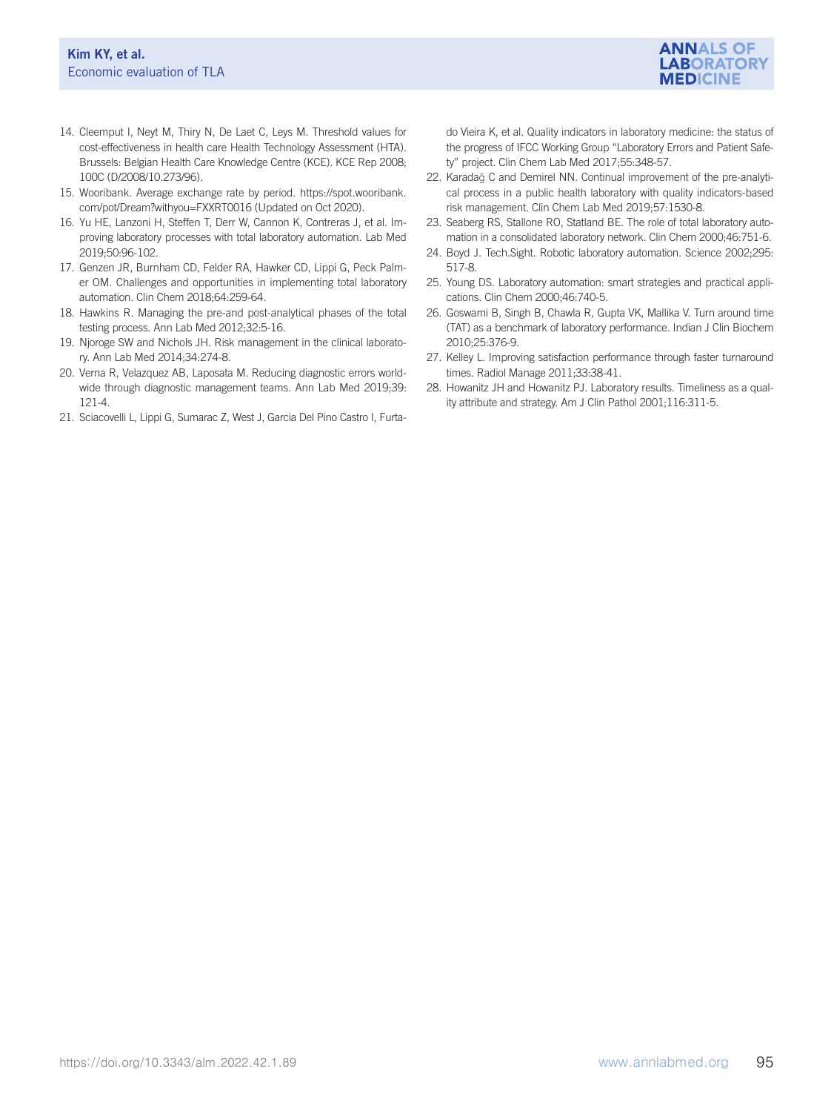

- 14. Cleemput I, Neyt M, Thiry N, De Laet C, Leys M. Threshold values for cost-effectiveness in health care Health Technology Assessment (HTA). Brussels: Belgian Health Care Knowledge Centre (KCE). KCE Rep 2008; 100C (D/2008/10.273/96).
- 15. Wooribank. Average exchange rate by period. https://spot.wooribank. com/pot/Dream?withyou=FXXRT0016 (Updated on Oct 2020).
- 16. Yu HE, Lanzoni H, Steffen T, Derr W, Cannon K, Contreras J, et al. Improving laboratory processes with total laboratory automation. Lab Med 2019;50:96-102.
- 17. Genzen JR, Burnham CD, Felder RA, Hawker CD, Lippi G, Peck Palmer OM. Challenges and opportunities in implementing total laboratory automation. Clin Chem 2018;64:259-64.
- 18. Hawkins R. Managing the pre-and post-analytical phases of the total testing process. Ann Lab Med 2012;32:5-16.
- 19. Njoroge SW and Nichols JH. Risk management in the clinical laboratory. Ann Lab Med 2014;34:274-8.
- 20. Verna R, Velazquez AB, Laposata M. Reducing diagnostic errors worldwide through diagnostic management teams. Ann Lab Med 2019;39: 121-4.
- 21. Sciacovelli L, Lippi G, Sumarac Z, West J, Garcia Del Pino Castro I, Furta-

do Vieira K, et al. Quality indicators in laboratory medicine: the status of the progress of IFCC Working Group "Laboratory Errors and Patient Safety" project. Clin Chem Lab Med 2017;55:348-57.

- 22. Karadağ C and Demirel NN. Continual improvement of the pre-analytical process in a public health laboratory with quality indicators-based risk management. Clin Chem Lab Med 2019;57:1530-8.
- 23. Seaberg RS, Stallone RO, Statland BE. The role of total laboratory automation in a consolidated laboratory network. Clin Chem 2000;46:751-6.
- 24. Boyd J. Tech.Sight. Robotic laboratory automation. Science 2002;295: 517-8.
- 25. Young DS. Laboratory automation: smart strategies and practical applications. Clin Chem 2000;46:740-5.
- 26. Goswami B, Singh B, Chawla R, Gupta VK, Mallika V. Turn around time (TAT) as a benchmark of laboratory performance. Indian J Clin Biochem 2010;25:376-9.
- 27. Kelley L. Improving satisfaction performance through faster turnaround times. Radiol Manage 2011;33:38-41.
- 28. Howanitz JH and Howanitz PJ. Laboratory results. Timeliness as a quality attribute and strategy. Am J Clin Pathol 2001;116:311-5.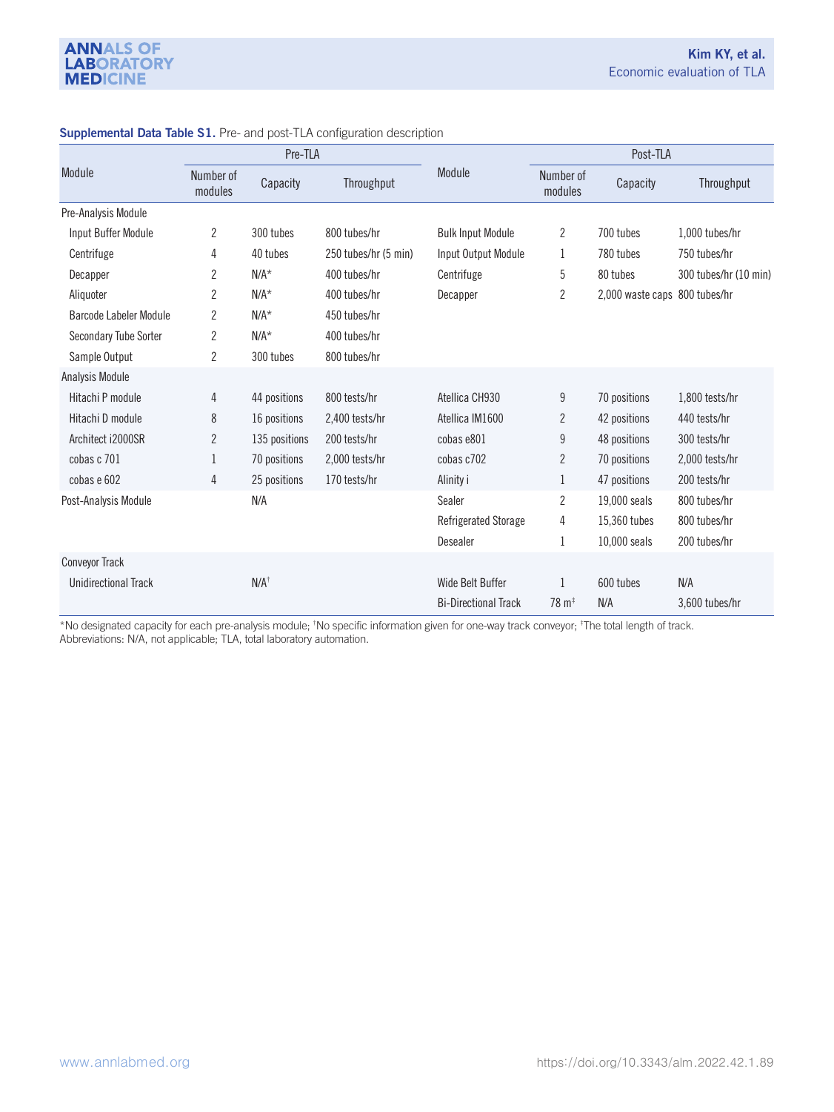|                               | Pre-TLA              |                        |                      |                             | Post-TLA                    |                  |                       |  |
|-------------------------------|----------------------|------------------------|----------------------|-----------------------------|-----------------------------|------------------|-----------------------|--|
| Module                        | Number of<br>modules | Throughput<br>Capacity |                      | Module                      | Number of<br>modules        | Capacity         | Throughput            |  |
| Pre-Analysis Module           |                      |                        |                      |                             |                             |                  |                       |  |
| Input Buffer Module           | $\overline{2}$       | 300 tubes              | 800 tubes/hr         | <b>Bulk Input Module</b>    | $\overline{c}$              | 700 tubes        | 1,000 tubes/hr        |  |
| Centrifuge                    | 4                    | 40 tubes               | 250 tubes/hr (5 min) | Input Output Module         | 1                           | 780 tubes        | 750 tubes/hr          |  |
| Decapper                      | 2                    | $N/A^*$                | 400 tubes/hr         | Centrifuge                  | 5                           | 80 tubes         | 300 tubes/hr (10 min) |  |
| Aliquoter                     | 2                    | $N/A^*$                | 400 tubes/hr         | Decapper                    | $\overline{c}$              | 2,000 waste caps | 800 tubes/hr          |  |
| <b>Barcode Labeler Module</b> | 2                    | $N/A^*$                | 450 tubes/hr         |                             |                             |                  |                       |  |
| Secondary Tube Sorter         | $\overline{2}$       | $N/A^*$                | 400 tubes/hr         |                             |                             |                  |                       |  |
| Sample Output                 | 2                    | 300 tubes              | 800 tubes/hr         |                             |                             |                  |                       |  |
| Analysis Module               |                      |                        |                      |                             |                             |                  |                       |  |
| Hitachi P module              | 4                    | 44 positions           | 800 tests/hr         | Atellica CH930              | 9                           | 70 positions     | 1,800 tests/hr        |  |
| Hitachi D module              | 8                    | 16 positions           | 2,400 tests/hr       | Atellica IM1600             | 2                           | 42 positions     | 440 tests/hr          |  |
| Architect i2000SR             | $\overline{2}$       | 135 positions          | 200 tests/hr         | cobas e801                  | 9                           | 48 positions     | 300 tests/hr          |  |
| cobas c 701                   | 1                    | 70 positions           | 2,000 tests/hr       | cobas c702                  | 2                           | 70 positions     | 2,000 tests/hr        |  |
| cobas e 602                   | 4                    | 25 positions           | 170 tests/hr         | Alinity i                   | 1                           | 47 positions     | 200 tests/hr          |  |
| Post-Analysis Module          |                      | N/A                    |                      | Sealer                      | $\overline{c}$              | 19,000 seals     | 800 tubes/hr          |  |
|                               |                      |                        |                      | Refrigerated Storage        | 4                           | 15,360 tubes     | 800 tubes/hr          |  |
|                               |                      |                        |                      | Desealer                    | 1                           | 10,000 seals     | 200 tubes/hr          |  |
| <b>Conveyor Track</b>         |                      |                        |                      |                             |                             |                  |                       |  |
| <b>Unidirectional Track</b>   |                      | $N/A^{\dagger}$        |                      | Wide Belt Buffer            |                             | 600 tubes        | N/A                   |  |
|                               |                      |                        |                      | <b>Bi-Directional Track</b> | $78 \text{ m}$ <sup>‡</sup> | N/A              | 3,600 tubes/hr        |  |

#### Supplemental Data Table S1. Pre- and post-TLA configuration description

\*No designated capacity for each pre-analysis module; <sup>†</sup>No specific information given for one-way track conveyor; <sup>‡</sup>The total length of track. Abbreviations: N/A, not applicable; TLA, total laboratory automation.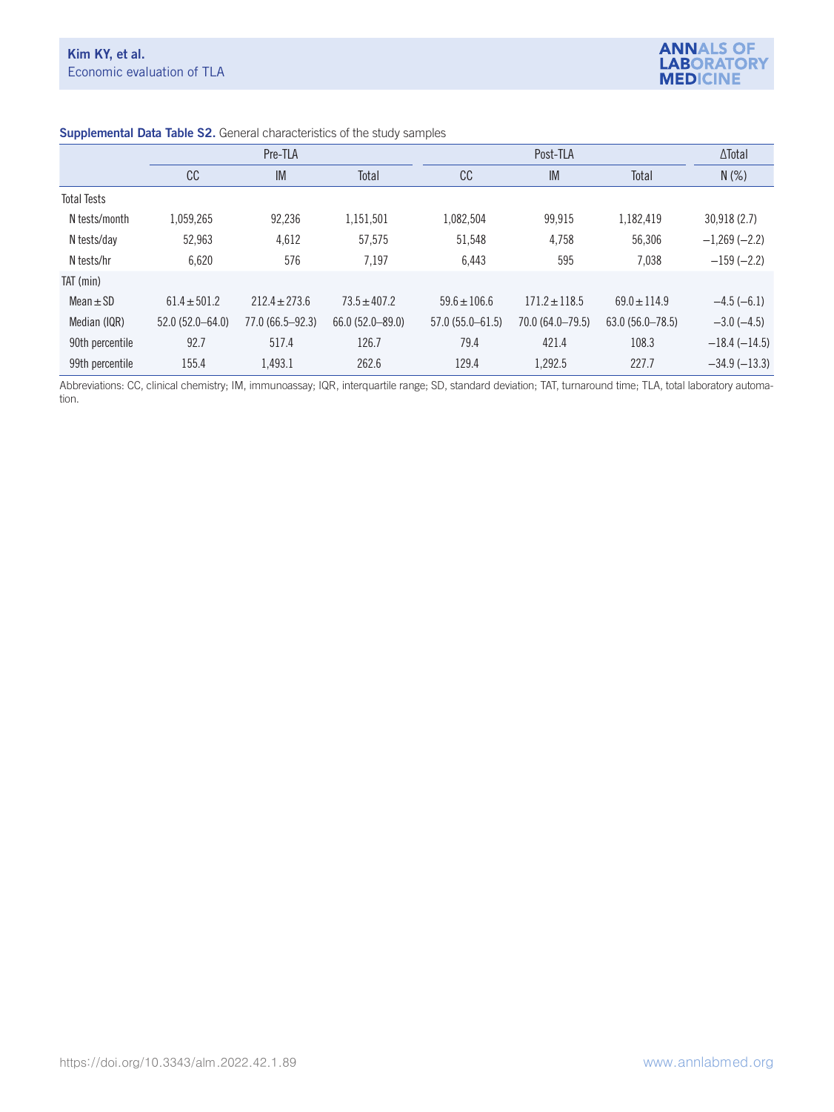

|                    | Pre-TLA             |                     |                     |                     | ∆Total            |                     |                   |
|--------------------|---------------------|---------------------|---------------------|---------------------|-------------------|---------------------|-------------------|
|                    | <b>CC</b>           | IM                  | Total               | cc                  | IM                | Total               | $N(\%)$           |
| <b>Total Tests</b> |                     |                     |                     |                     |                   |                     |                   |
| N tests/month      | 1,059,265           | 92,236              | 1,151,501           | 1,082,504           | 99.915            | 1.182.419           | 30,918(2.7)       |
| N tests/day        | 52.963              | 4,612               | 57,575              | 51,548              | 4.758             | 56,306              | $-1,269(-2.2)$    |
| N tests/hr         | 6,620               | 576                 | 7,197               | 6,443               | 595               | 7,038               | $-159(-2.2)$      |
| TAT (min)          |                     |                     |                     |                     |                   |                     |                   |
| $Mean \pm SD$      | $61.4 \pm 501.2$    | $212.4 \pm 273.6$   | $73.5 \pm 407.2$    | $59.6 \pm 106.6$    | $171.2 \pm 118.5$ | $69.0 \pm 114.9$    | $-4.5(-6.1)$      |
| Median (IQR)       | $52.0(52.0 - 64.0)$ | $77.0(66.5 - 92.3)$ | $66.0(52.0 - 89.0)$ | $57.0(55.0 - 61.5)$ | 70.0 (64.0-79.5)  | $63.0(56.0 - 78.5)$ | $-3.0$ ( $-4.5$ ) |
| 90th percentile    | 92.7                | 517.4               | 126.7               | 79.4                | 421.4             | 108.3               | $-18.4(-14.5)$    |
| 99th percentile    | 155.4               | 1,493.1             | 262.6               | 129.4               | 1.292.5           | 227.7               | $-34.9(-13.3)$    |

#### Supplemental Data Table S2. General characteristics of the study samples

Abbreviations: CC, clinical chemistry; IM, immunoassay; IQR, interquartile range; SD, standard deviation; TAT, turnaround time; TLA, total laboratory automation.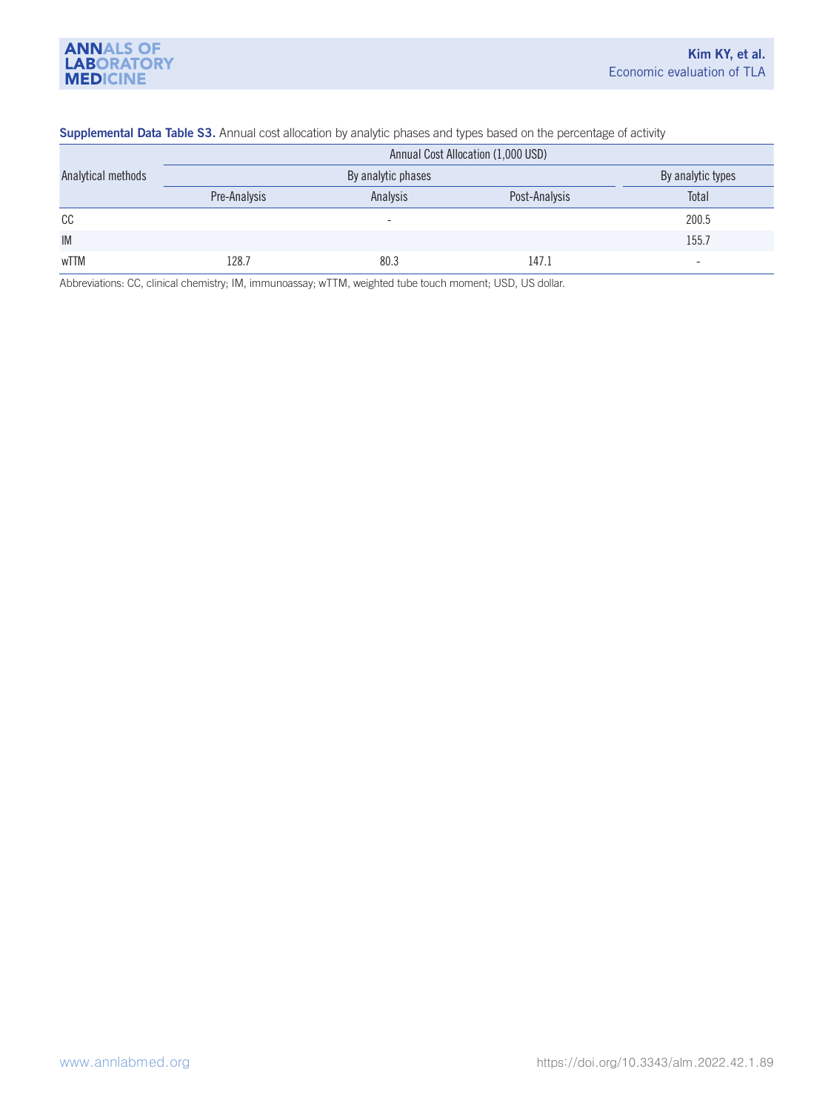#### Supplemental Data Table S3. Annual cost allocation by analytic phases and types based on the percentage of activity

|                    | Annual Cost Allocation (1,000 USD) |                          |               |                          |  |  |  |  |
|--------------------|------------------------------------|--------------------------|---------------|--------------------------|--|--|--|--|
| Analytical methods |                                    | By analytic types        |               |                          |  |  |  |  |
|                    | Pre-Analysis                       | Analysis                 | Post-Analysis | Total                    |  |  |  |  |
| cc                 |                                    | $\overline{\phantom{0}}$ |               | 200.5                    |  |  |  |  |
| <b>IM</b>          |                                    |                          |               | 155.7                    |  |  |  |  |
| wTTM               | 128.7                              | 80.3                     | 147.1         | $\overline{\phantom{a}}$ |  |  |  |  |

Abbreviations: CC, clinical chemistry; IM, immunoassay; wTTM, weighted tube touch moment; USD, US dollar.